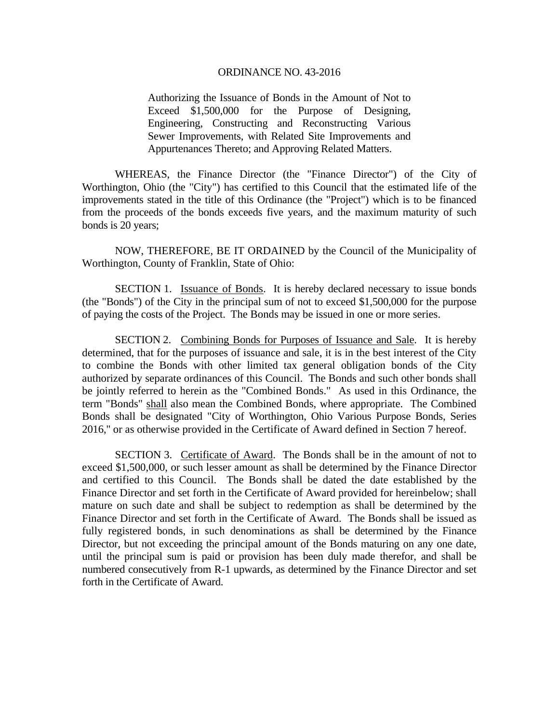Authorizing the Issuance of Bonds in the Amount of Not to Exceed \$1,500,000 for the Purpose of Designing, Engineering, Constructing and Reconstructing Various Sewer Improvements, with Related Site Improvements and Appurtenances Thereto; and Approving Related Matters.

 WHEREAS, the Finance Director (the "Finance Director") of the City of Worthington, Ohio (the "City") has certified to this Council that the estimated life of the improvements stated in the title of this Ordinance (the "Project") which is to be financed from the proceeds of the bonds exceeds five years, and the maximum maturity of such bonds is 20 years;

NOW, THEREFORE, BE IT ORDAINED by the Council of the Municipality of Worthington, County of Franklin, State of Ohio:

 SECTION 1. Issuance of Bonds. It is hereby declared necessary to issue bonds (the "Bonds") of the City in the principal sum of not to exceed \$1,500,000 for the purpose of paying the costs of the Project. The Bonds may be issued in one or more series.

 SECTION 2. Combining Bonds for Purposes of Issuance and Sale. It is hereby determined, that for the purposes of issuance and sale, it is in the best interest of the City to combine the Bonds with other limited tax general obligation bonds of the City authorized by separate ordinances of this Council. The Bonds and such other bonds shall be jointly referred to herein as the "Combined Bonds." As used in this Ordinance, the term "Bonds" shall also mean the Combined Bonds, where appropriate. The Combined Bonds shall be designated "City of Worthington, Ohio Various Purpose Bonds, Series 2016," or as otherwise provided in the Certificate of Award defined in Section 7 hereof.

 SECTION 3. Certificate of Award. The Bonds shall be in the amount of not to exceed \$1,500,000, or such lesser amount as shall be determined by the Finance Director and certified to this Council. The Bonds shall be dated the date established by the Finance Director and set forth in the Certificate of Award provided for hereinbelow; shall mature on such date and shall be subject to redemption as shall be determined by the Finance Director and set forth in the Certificate of Award. The Bonds shall be issued as fully registered bonds, in such denominations as shall be determined by the Finance Director, but not exceeding the principal amount of the Bonds maturing on any one date, until the principal sum is paid or provision has been duly made therefor, and shall be numbered consecutively from R-1 upwards, as determined by the Finance Director and set forth in the Certificate of Award.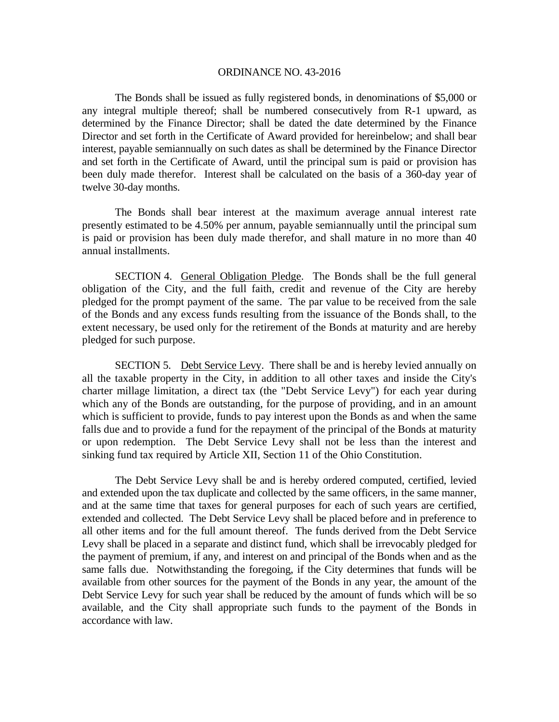The Bonds shall be issued as fully registered bonds, in denominations of \$5,000 or any integral multiple thereof; shall be numbered consecutively from R-1 upward, as determined by the Finance Director; shall be dated the date determined by the Finance Director and set forth in the Certificate of Award provided for hereinbelow; and shall bear interest, payable semiannually on such dates as shall be determined by the Finance Director and set forth in the Certificate of Award, until the principal sum is paid or provision has been duly made therefor. Interest shall be calculated on the basis of a 360-day year of twelve 30-day months.

The Bonds shall bear interest at the maximum average annual interest rate presently estimated to be 4.50% per annum, payable semiannually until the principal sum is paid or provision has been duly made therefor, and shall mature in no more than 40 annual installments.

 SECTION 4. General Obligation Pledge. The Bonds shall be the full general obligation of the City, and the full faith, credit and revenue of the City are hereby pledged for the prompt payment of the same. The par value to be received from the sale of the Bonds and any excess funds resulting from the issuance of the Bonds shall, to the extent necessary, be used only for the retirement of the Bonds at maturity and are hereby pledged for such purpose.

SECTION 5. Debt Service Levy. There shall be and is hereby levied annually on all the taxable property in the City, in addition to all other taxes and inside the City's charter millage limitation, a direct tax (the "Debt Service Levy") for each year during which any of the Bonds are outstanding, for the purpose of providing, and in an amount which is sufficient to provide, funds to pay interest upon the Bonds as and when the same falls due and to provide a fund for the repayment of the principal of the Bonds at maturity or upon redemption. The Debt Service Levy shall not be less than the interest and sinking fund tax required by Article XII, Section 11 of the Ohio Constitution.

The Debt Service Levy shall be and is hereby ordered computed, certified, levied and extended upon the tax duplicate and collected by the same officers, in the same manner, and at the same time that taxes for general purposes for each of such years are certified, extended and collected. The Debt Service Levy shall be placed before and in preference to all other items and for the full amount thereof. The funds derived from the Debt Service Levy shall be placed in a separate and distinct fund, which shall be irrevocably pledged for the payment of premium, if any, and interest on and principal of the Bonds when and as the same falls due. Notwithstanding the foregoing, if the City determines that funds will be available from other sources for the payment of the Bonds in any year, the amount of the Debt Service Levy for such year shall be reduced by the amount of funds which will be so available, and the City shall appropriate such funds to the payment of the Bonds in accordance with law.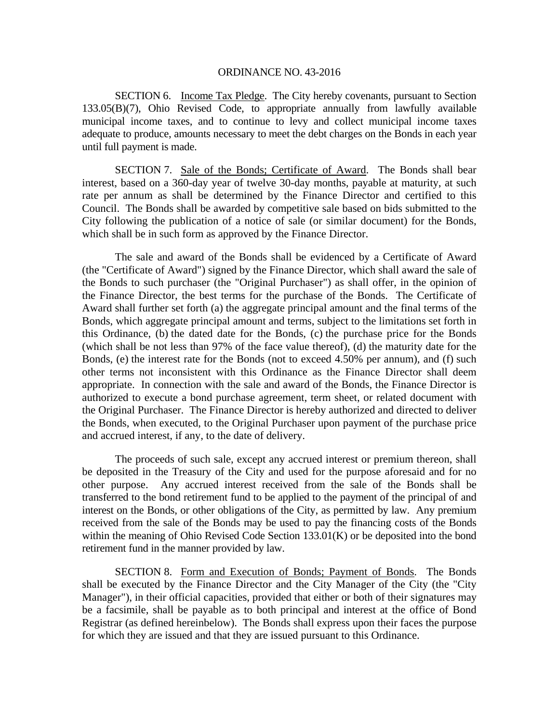SECTION 6. Income Tax Pledge. The City hereby covenants, pursuant to Section 133.05(B)(7), Ohio Revised Code, to appropriate annually from lawfully available municipal income taxes, and to continue to levy and collect municipal income taxes adequate to produce, amounts necessary to meet the debt charges on the Bonds in each year until full payment is made.

SECTION 7. Sale of the Bonds; Certificate of Award. The Bonds shall bear interest, based on a 360-day year of twelve 30-day months, payable at maturity, at such rate per annum as shall be determined by the Finance Director and certified to this Council. The Bonds shall be awarded by competitive sale based on bids submitted to the City following the publication of a notice of sale (or similar document) for the Bonds, which shall be in such form as approved by the Finance Director.

The sale and award of the Bonds shall be evidenced by a Certificate of Award (the "Certificate of Award") signed by the Finance Director, which shall award the sale of the Bonds to such purchaser (the "Original Purchaser") as shall offer, in the opinion of the Finance Director, the best terms for the purchase of the Bonds. The Certificate of Award shall further set forth (a) the aggregate principal amount and the final terms of the Bonds, which aggregate principal amount and terms, subject to the limitations set forth in this Ordinance, (b) the dated date for the Bonds, (c) the purchase price for the Bonds (which shall be not less than 97% of the face value thereof), (d) the maturity date for the Bonds, (e) the interest rate for the Bonds (not to exceed 4.50% per annum), and (f) such other terms not inconsistent with this Ordinance as the Finance Director shall deem appropriate. In connection with the sale and award of the Bonds, the Finance Director is authorized to execute a bond purchase agreement, term sheet, or related document with the Original Purchaser. The Finance Director is hereby authorized and directed to deliver the Bonds, when executed, to the Original Purchaser upon payment of the purchase price and accrued interest, if any, to the date of delivery.

The proceeds of such sale, except any accrued interest or premium thereon, shall be deposited in the Treasury of the City and used for the purpose aforesaid and for no other purpose. Any accrued interest received from the sale of the Bonds shall be transferred to the bond retirement fund to be applied to the payment of the principal of and interest on the Bonds, or other obligations of the City, as permitted by law. Any premium received from the sale of the Bonds may be used to pay the financing costs of the Bonds within the meaning of Ohio Revised Code Section 133.01(K) or be deposited into the bond retirement fund in the manner provided by law.

 SECTION 8. Form and Execution of Bonds; Payment of Bonds. The Bonds shall be executed by the Finance Director and the City Manager of the City (the "City Manager"), in their official capacities, provided that either or both of their signatures may be a facsimile, shall be payable as to both principal and interest at the office of Bond Registrar (as defined hereinbelow). The Bonds shall express upon their faces the purpose for which they are issued and that they are issued pursuant to this Ordinance.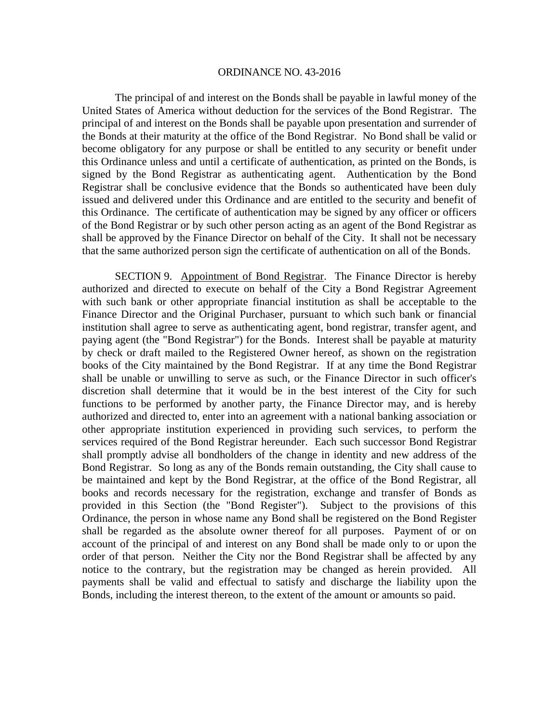The principal of and interest on the Bonds shall be payable in lawful money of the United States of America without deduction for the services of the Bond Registrar. The principal of and interest on the Bonds shall be payable upon presentation and surrender of the Bonds at their maturity at the office of the Bond Registrar. No Bond shall be valid or become obligatory for any purpose or shall be entitled to any security or benefit under this Ordinance unless and until a certificate of authentication, as printed on the Bonds, is signed by the Bond Registrar as authenticating agent. Authentication by the Bond Registrar shall be conclusive evidence that the Bonds so authenticated have been duly issued and delivered under this Ordinance and are entitled to the security and benefit of this Ordinance. The certificate of authentication may be signed by any officer or officers of the Bond Registrar or by such other person acting as an agent of the Bond Registrar as shall be approved by the Finance Director on behalf of the City. It shall not be necessary that the same authorized person sign the certificate of authentication on all of the Bonds.

 SECTION 9. Appointment of Bond Registrar. The Finance Director is hereby authorized and directed to execute on behalf of the City a Bond Registrar Agreement with such bank or other appropriate financial institution as shall be acceptable to the Finance Director and the Original Purchaser, pursuant to which such bank or financial institution shall agree to serve as authenticating agent, bond registrar, transfer agent, and paying agent (the "Bond Registrar") for the Bonds. Interest shall be payable at maturity by check or draft mailed to the Registered Owner hereof, as shown on the registration books of the City maintained by the Bond Registrar. If at any time the Bond Registrar shall be unable or unwilling to serve as such, or the Finance Director in such officer's discretion shall determine that it would be in the best interest of the City for such functions to be performed by another party, the Finance Director may, and is hereby authorized and directed to, enter into an agreement with a national banking association or other appropriate institution experienced in providing such services, to perform the services required of the Bond Registrar hereunder. Each such successor Bond Registrar shall promptly advise all bondholders of the change in identity and new address of the Bond Registrar. So long as any of the Bonds remain outstanding, the City shall cause to be maintained and kept by the Bond Registrar, at the office of the Bond Registrar, all books and records necessary for the registration, exchange and transfer of Bonds as provided in this Section (the "Bond Register"). Subject to the provisions of this Ordinance, the person in whose name any Bond shall be registered on the Bond Register shall be regarded as the absolute owner thereof for all purposes. Payment of or on account of the principal of and interest on any Bond shall be made only to or upon the order of that person. Neither the City nor the Bond Registrar shall be affected by any notice to the contrary, but the registration may be changed as herein provided. All payments shall be valid and effectual to satisfy and discharge the liability upon the Bonds, including the interest thereon, to the extent of the amount or amounts so paid.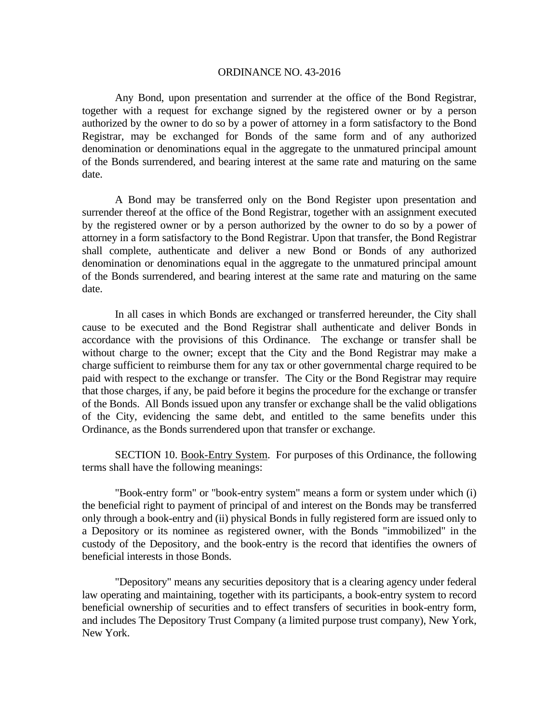Any Bond, upon presentation and surrender at the office of the Bond Registrar, together with a request for exchange signed by the registered owner or by a person authorized by the owner to do so by a power of attorney in a form satisfactory to the Bond Registrar, may be exchanged for Bonds of the same form and of any authorized denomination or denominations equal in the aggregate to the unmatured principal amount of the Bonds surrendered, and bearing interest at the same rate and maturing on the same date.

 A Bond may be transferred only on the Bond Register upon presentation and surrender thereof at the office of the Bond Registrar, together with an assignment executed by the registered owner or by a person authorized by the owner to do so by a power of attorney in a form satisfactory to the Bond Registrar. Upon that transfer, the Bond Registrar shall complete, authenticate and deliver a new Bond or Bonds of any authorized denomination or denominations equal in the aggregate to the unmatured principal amount of the Bonds surrendered, and bearing interest at the same rate and maturing on the same date.

In all cases in which Bonds are exchanged or transferred hereunder, the City shall cause to be executed and the Bond Registrar shall authenticate and deliver Bonds in accordance with the provisions of this Ordinance. The exchange or transfer shall be without charge to the owner; except that the City and the Bond Registrar may make a charge sufficient to reimburse them for any tax or other governmental charge required to be paid with respect to the exchange or transfer. The City or the Bond Registrar may require that those charges, if any, be paid before it begins the procedure for the exchange or transfer of the Bonds. All Bonds issued upon any transfer or exchange shall be the valid obligations of the City, evidencing the same debt, and entitled to the same benefits under this Ordinance, as the Bonds surrendered upon that transfer or exchange.

 SECTION 10. Book-Entry System. For purposes of this Ordinance, the following terms shall have the following meanings:

 "Book-entry form" or "book-entry system" means a form or system under which (i) the beneficial right to payment of principal of and interest on the Bonds may be transferred only through a book-entry and (ii) physical Bonds in fully registered form are issued only to a Depository or its nominee as registered owner, with the Bonds "immobilized" in the custody of the Depository, and the book-entry is the record that identifies the owners of beneficial interests in those Bonds.

 "Depository" means any securities depository that is a clearing agency under federal law operating and maintaining, together with its participants, a book-entry system to record beneficial ownership of securities and to effect transfers of securities in book-entry form, and includes The Depository Trust Company (a limited purpose trust company), New York, New York.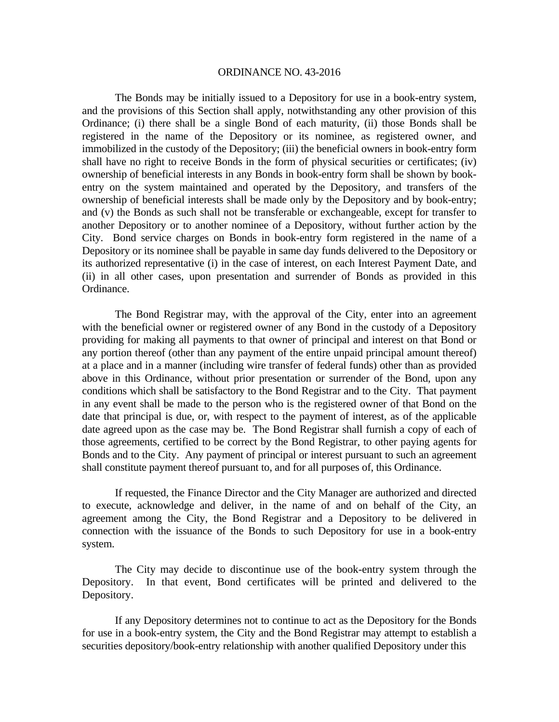The Bonds may be initially issued to a Depository for use in a book-entry system, and the provisions of this Section shall apply, notwithstanding any other provision of this Ordinance; (i) there shall be a single Bond of each maturity, (ii) those Bonds shall be registered in the name of the Depository or its nominee, as registered owner, and immobilized in the custody of the Depository; (iii) the beneficial owners in book-entry form shall have no right to receive Bonds in the form of physical securities or certificates; (iv) ownership of beneficial interests in any Bonds in book-entry form shall be shown by bookentry on the system maintained and operated by the Depository, and transfers of the ownership of beneficial interests shall be made only by the Depository and by book-entry; and (v) the Bonds as such shall not be transferable or exchangeable, except for transfer to another Depository or to another nominee of a Depository, without further action by the City. Bond service charges on Bonds in book-entry form registered in the name of a Depository or its nominee shall be payable in same day funds delivered to the Depository or its authorized representative (i) in the case of interest, on each Interest Payment Date, and (ii) in all other cases, upon presentation and surrender of Bonds as provided in this Ordinance.

 The Bond Registrar may, with the approval of the City, enter into an agreement with the beneficial owner or registered owner of any Bond in the custody of a Depository providing for making all payments to that owner of principal and interest on that Bond or any portion thereof (other than any payment of the entire unpaid principal amount thereof) at a place and in a manner (including wire transfer of federal funds) other than as provided above in this Ordinance, without prior presentation or surrender of the Bond, upon any conditions which shall be satisfactory to the Bond Registrar and to the City. That payment in any event shall be made to the person who is the registered owner of that Bond on the date that principal is due, or, with respect to the payment of interest, as of the applicable date agreed upon as the case may be. The Bond Registrar shall furnish a copy of each of those agreements, certified to be correct by the Bond Registrar, to other paying agents for Bonds and to the City. Any payment of principal or interest pursuant to such an agreement shall constitute payment thereof pursuant to, and for all purposes of, this Ordinance.

 If requested, the Finance Director and the City Manager are authorized and directed to execute, acknowledge and deliver, in the name of and on behalf of the City, an agreement among the City, the Bond Registrar and a Depository to be delivered in connection with the issuance of the Bonds to such Depository for use in a book-entry system.

The City may decide to discontinue use of the book-entry system through the Depository. In that event, Bond certificates will be printed and delivered to the Depository.

 If any Depository determines not to continue to act as the Depository for the Bonds for use in a book-entry system, the City and the Bond Registrar may attempt to establish a securities depository/book-entry relationship with another qualified Depository under this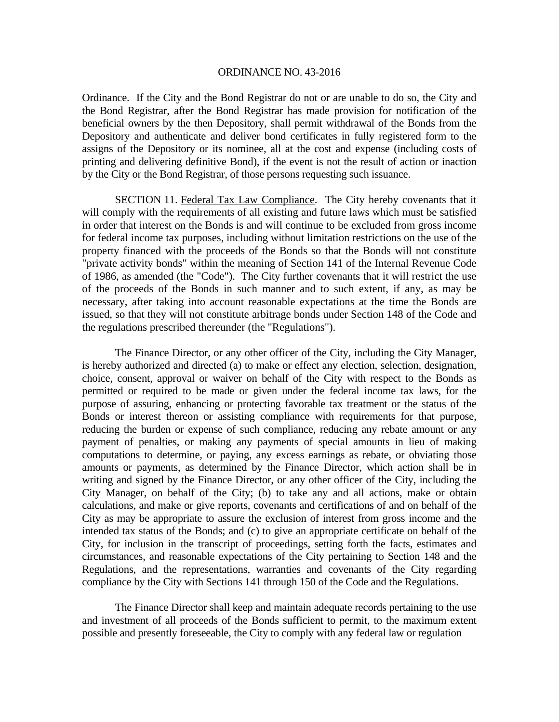Ordinance. If the City and the Bond Registrar do not or are unable to do so, the City and the Bond Registrar, after the Bond Registrar has made provision for notification of the beneficial owners by the then Depository, shall permit withdrawal of the Bonds from the Depository and authenticate and deliver bond certificates in fully registered form to the assigns of the Depository or its nominee, all at the cost and expense (including costs of printing and delivering definitive Bond), if the event is not the result of action or inaction by the City or the Bond Registrar, of those persons requesting such issuance.

 SECTION 11. Federal Tax Law Compliance. The City hereby covenants that it will comply with the requirements of all existing and future laws which must be satisfied in order that interest on the Bonds is and will continue to be excluded from gross income for federal income tax purposes, including without limitation restrictions on the use of the property financed with the proceeds of the Bonds so that the Bonds will not constitute "private activity bonds" within the meaning of Section 141 of the Internal Revenue Code of 1986, as amended (the "Code"). The City further covenants that it will restrict the use of the proceeds of the Bonds in such manner and to such extent, if any, as may be necessary, after taking into account reasonable expectations at the time the Bonds are issued, so that they will not constitute arbitrage bonds under Section 148 of the Code and the regulations prescribed thereunder (the "Regulations").

The Finance Director, or any other officer of the City, including the City Manager, is hereby authorized and directed (a) to make or effect any election, selection, designation, choice, consent, approval or waiver on behalf of the City with respect to the Bonds as permitted or required to be made or given under the federal income tax laws, for the purpose of assuring, enhancing or protecting favorable tax treatment or the status of the Bonds or interest thereon or assisting compliance with requirements for that purpose, reducing the burden or expense of such compliance, reducing any rebate amount or any payment of penalties, or making any payments of special amounts in lieu of making computations to determine, or paying, any excess earnings as rebate, or obviating those amounts or payments, as determined by the Finance Director, which action shall be in writing and signed by the Finance Director, or any other officer of the City, including the City Manager, on behalf of the City; (b) to take any and all actions, make or obtain calculations, and make or give reports, covenants and certifications of and on behalf of the City as may be appropriate to assure the exclusion of interest from gross income and the intended tax status of the Bonds; and (c) to give an appropriate certificate on behalf of the City, for inclusion in the transcript of proceedings, setting forth the facts, estimates and circumstances, and reasonable expectations of the City pertaining to Section 148 and the Regulations, and the representations, warranties and covenants of the City regarding compliance by the City with Sections 141 through 150 of the Code and the Regulations.

The Finance Director shall keep and maintain adequate records pertaining to the use and investment of all proceeds of the Bonds sufficient to permit, to the maximum extent possible and presently foreseeable, the City to comply with any federal law or regulation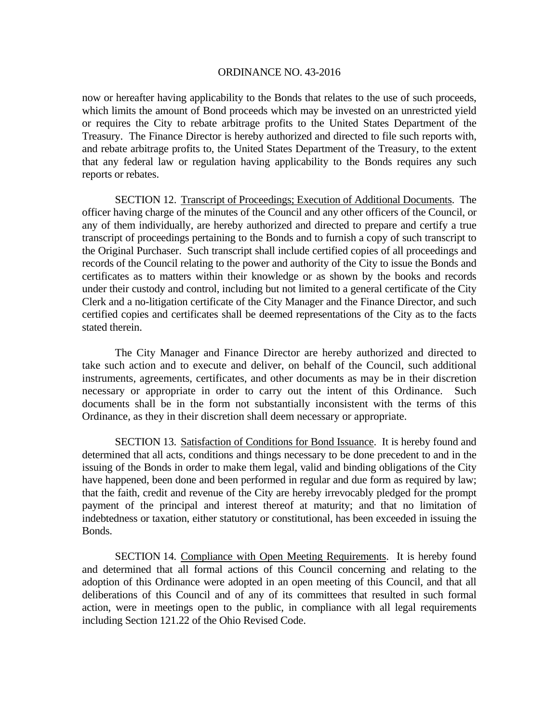now or hereafter having applicability to the Bonds that relates to the use of such proceeds, which limits the amount of Bond proceeds which may be invested on an unrestricted yield or requires the City to rebate arbitrage profits to the United States Department of the Treasury. The Finance Director is hereby authorized and directed to file such reports with, and rebate arbitrage profits to, the United States Department of the Treasury, to the extent that any federal law or regulation having applicability to the Bonds requires any such reports or rebates.

 SECTION 12. Transcript of Proceedings; Execution of Additional Documents. The officer having charge of the minutes of the Council and any other officers of the Council, or any of them individually, are hereby authorized and directed to prepare and certify a true transcript of proceedings pertaining to the Bonds and to furnish a copy of such transcript to the Original Purchaser. Such transcript shall include certified copies of all proceedings and records of the Council relating to the power and authority of the City to issue the Bonds and certificates as to matters within their knowledge or as shown by the books and records under their custody and control, including but not limited to a general certificate of the City Clerk and a no-litigation certificate of the City Manager and the Finance Director, and such certified copies and certificates shall be deemed representations of the City as to the facts stated therein.

The City Manager and Finance Director are hereby authorized and directed to take such action and to execute and deliver, on behalf of the Council, such additional instruments, agreements, certificates, and other documents as may be in their discretion necessary or appropriate in order to carry out the intent of this Ordinance. Such documents shall be in the form not substantially inconsistent with the terms of this Ordinance, as they in their discretion shall deem necessary or appropriate.

 SECTION 13. Satisfaction of Conditions for Bond Issuance. It is hereby found and determined that all acts, conditions and things necessary to be done precedent to and in the issuing of the Bonds in order to make them legal, valid and binding obligations of the City have happened, been done and been performed in regular and due form as required by law; that the faith, credit and revenue of the City are hereby irrevocably pledged for the prompt payment of the principal and interest thereof at maturity; and that no limitation of indebtedness or taxation, either statutory or constitutional, has been exceeded in issuing the Bonds.

 SECTION 14. Compliance with Open Meeting Requirements. It is hereby found and determined that all formal actions of this Council concerning and relating to the adoption of this Ordinance were adopted in an open meeting of this Council, and that all deliberations of this Council and of any of its committees that resulted in such formal action, were in meetings open to the public, in compliance with all legal requirements including Section 121.22 of the Ohio Revised Code.